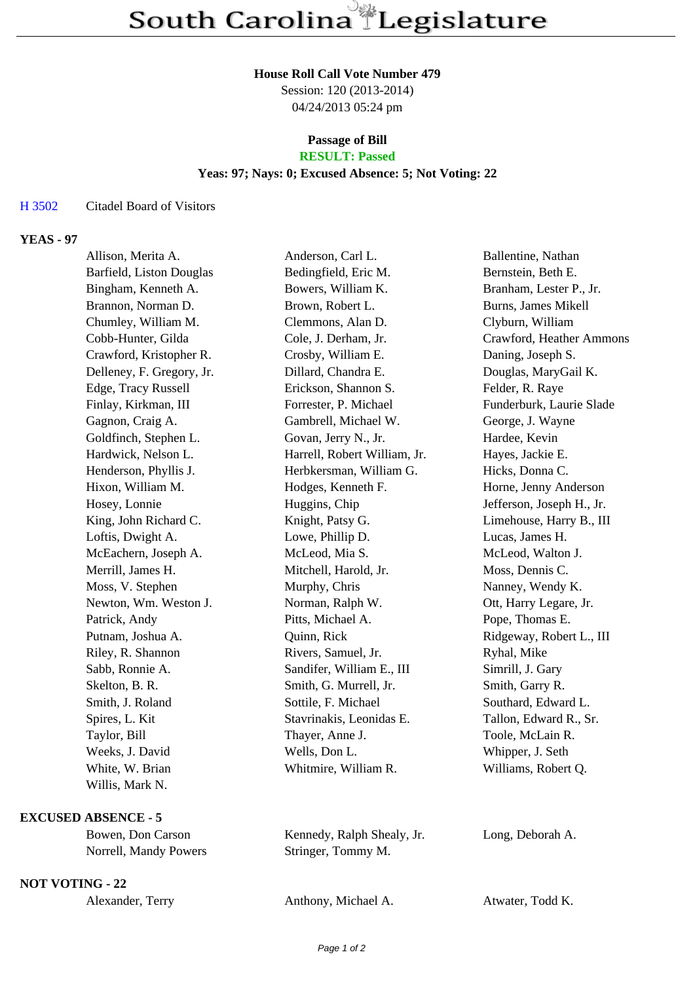### **House Roll Call Vote Number 479**

Session: 120 (2013-2014) 04/24/2013 05:24 pm

### **Passage of Bill RESULT: Passed**

# **Yeas: 97; Nays: 0; Excused Absence: 5; Not Voting: 22**

### H 3502 Citadel Board of Visitors

# **YEAS - 97**

| Allison, Merita A.         | Anderson, Carl L.            | Ballentine, Nathan        |
|----------------------------|------------------------------|---------------------------|
| Barfield, Liston Douglas   | Bedingfield, Eric M.         | Bernstein, Beth E.        |
| Bingham, Kenneth A.        | Bowers, William K.           | Branham, Lester P., Jr.   |
| Brannon, Norman D.         | Brown, Robert L.             | Burns, James Mikell       |
| Chumley, William M.        | Clemmons, Alan D.            | Clyburn, William          |
| Cobb-Hunter, Gilda         | Cole, J. Derham, Jr.         | Crawford, Heather Ammons  |
| Crawford, Kristopher R.    | Crosby, William E.           | Daning, Joseph S.         |
| Delleney, F. Gregory, Jr.  | Dillard, Chandra E.          | Douglas, MaryGail K.      |
| Edge, Tracy Russell        | Erickson, Shannon S.         | Felder, R. Raye           |
| Finlay, Kirkman, III       | Forrester, P. Michael        | Funderburk, Laurie Slade  |
| Gagnon, Craig A.           | Gambrell, Michael W.         | George, J. Wayne          |
| Goldfinch, Stephen L.      | Govan, Jerry N., Jr.         | Hardee, Kevin             |
| Hardwick, Nelson L.        | Harrell, Robert William, Jr. | Hayes, Jackie E.          |
| Henderson, Phyllis J.      | Herbkersman, William G.      | Hicks, Donna C.           |
| Hixon, William M.          | Hodges, Kenneth F.           | Horne, Jenny Anderson     |
| Hosey, Lonnie              | Huggins, Chip                | Jefferson, Joseph H., Jr. |
| King, John Richard C.      | Knight, Patsy G.             | Limehouse, Harry B., III  |
| Loftis, Dwight A.          | Lowe, Phillip D.             | Lucas, James H.           |
| McEachern, Joseph A.       | McLeod, Mia S.               | McLeod, Walton J.         |
| Merrill, James H.          | Mitchell, Harold, Jr.        | Moss, Dennis C.           |
| Moss, V. Stephen           | Murphy, Chris                | Nanney, Wendy K.          |
| Newton, Wm. Weston J.      | Norman, Ralph W.             | Ott, Harry Legare, Jr.    |
| Patrick, Andy              | Pitts, Michael A.            | Pope, Thomas E.           |
| Putnam, Joshua A.          | Quinn, Rick                  | Ridgeway, Robert L., III  |
| Riley, R. Shannon          | Rivers, Samuel, Jr.          | Ryhal, Mike               |
| Sabb, Ronnie A.            | Sandifer, William E., III    | Simrill, J. Gary          |
| Skelton, B. R.             | Smith, G. Murrell, Jr.       | Smith, Garry R.           |
| Smith, J. Roland           | Sottile, F. Michael          | Southard, Edward L.       |
| Spires, L. Kit             | Stavrinakis, Leonidas E.     | Tallon, Edward R., Sr.    |
| Taylor, Bill               | Thayer, Anne J.              | Toole, McLain R.          |
| Weeks, J. David            | Wells, Don L.                | Whipper, J. Seth          |
| White, W. Brian            | Whitmire, William R.         | Williams, Robert Q.       |
| Willis, Mark N.            |                              |                           |
| <b>EXCUSED ABSENCE - 5</b> |                              |                           |
| Bowen, Don Carson          | Kennedy, Ralph Shealy, Jr.   | Long, Deborah A.          |

| Bowen, Don Carson     | Kennedy, Ralph Shea |
|-----------------------|---------------------|
| Norrell, Mandy Powers | Stringer, Tommy M.  |

**NOT VOTING - 22**

Alexander, Terry **Anthony, Michael A.** Atwater, Todd K.